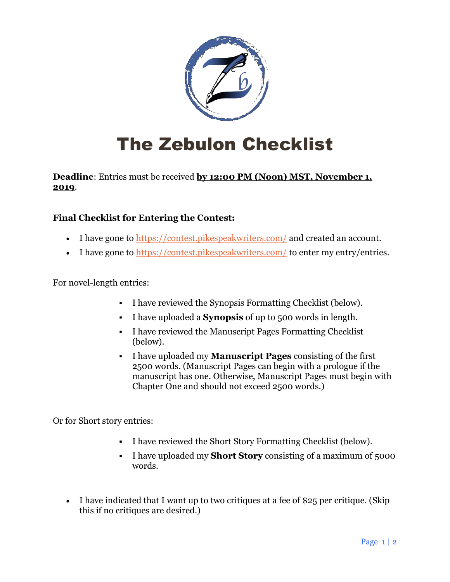

## The Zebulon Checklist

**Deadline**: Entries must be received **by 12:00 PM (Noon) MST, November 1, 2019**.

### **Final Checklist for Entering the Contest:**

- I have gone to <https://contest.pikespeakwriters.com/> and created an account.
- I have gone to  $\frac{https://context.pikespeakwrites.com/">https://context.pikespeakwrites.com/}$  to enter my entry/entries.

For novel-length entries:

- I have reviewed the Synopsis Formatting Checklist (below).
- I have uploaded a **Synopsis** of up to 500 words in length.
- I have reviewed the Manuscript Pages Formatting Checklist (below).
- I have uploaded my **Manuscript Pages** consisting of the first 2500 words. (Manuscript Pages can begin with a prologue if the manuscript has one. Otherwise, Manuscript Pages must begin with Chapter One and should not exceed 2500 words.)

Or for Short story entries:

- I have reviewed the Short Story Formatting Checklist (below).
- I have uploaded my **Short Story** consisting of a maximum of 5000 words.
- I have indicated that I want up to two critiques at a fee of \$25 per critique. (Skip this if no critiques are desired.)